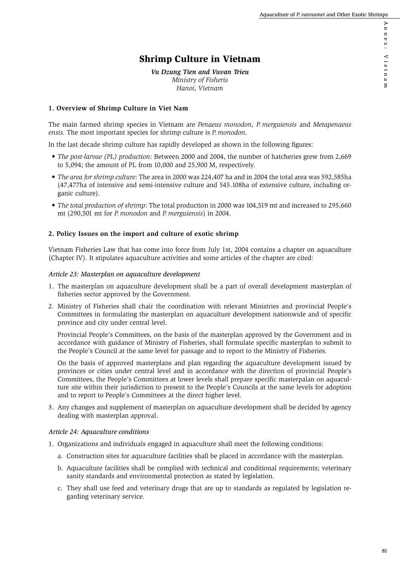# Shrimp Culture in Vietnam

*Vu Dzung Tien and Vuvan Trieu Ministry of Fisheris Hanoi, Vietnam*

# **1. Overview of Shrimp Culture in Viet Nam**

The main farmed shrimp species in Vietnam are *Penaeus monodon, P. merguiensis* and *Metapenaeus ensis.* The most important species for shrimp culture is *P. monodon.*

In the last decade shrimp culture has rapidly developed as shown in the following figures:

- *The post-larvae (PL) production*: Between 2000 and 2004, the number of hatcheries grew from 2,669 to 5,094; the amount of PL from 10,000 and 25,900 M, respectively.
- *The area for shrimp culture*: The area in 2000 was 224,407 ha and in 2004 the total area was 592,585ha (47,477ha of intensive and semi-intensive culture and 545.108ha of extensive culture, including organic culture).
- *The total production of shrimp*: The total production in 2000 was 104,519 mt and increased to 295,660 mt (290,501 mt for *P. monodon* and *P. merguiensis*) in 2004.

## **2. Policy Issues on the import and culture of exotic shrimp**

Vietnam Fisheries Law that has come into force from July 1st, 2004 contains a chapter on aquaculture (Chapter IV). It stipulates aquaculture activities and some articles of the chapter are cited:

### *Article 23: Masterplan on aquaculture development*

- 1. The masterplan on aquaculture development shall be a part of overall development masterplan of fisheries sector approved by the Government.
- 2. Ministry of Fisheries shall chair the coordination with relevant Ministries and provincial People's Committees in formulating the masterplan on aquaculture development nationwide and of specific province and city under central level.

Provincial People's Committees, on the basis of the masterplan approved by the Government and in accordance with guidance of Ministry of Fisheries, shall formulate specific masterplan to submit to the People's Council at the same level for passage and to report to the Ministry of Fisheries.

On the basis of approved masterplans and plan regarding the aquaculture development issued by provinces or cities under central level and in accordance with the direction of provincial People's Committees, the People's Committees at lower levels shall prepare specific masterpalan on aquaculture site within their jurisdiction to present to the People's Councils at the same levels for adoption and to report to People's Committees at the direct higher level.

3. Any changes and supplement of masterplan on aquaculture development shall be decided by agency dealing with masterplan approval.

#### *Article 24: Aquaculture conditions*

- 1. Organizations and individuals engaged in aquaculture shall meet the following conditions:
	- a. Construction sites for aquaculture facilities shall be placed in accordance with the masterplan.
	- b. Aquaculture facilities shall be complied with technical and conditional requirements; veterinary sanity standards and environmental protection as stated by legislation.
	- c. They shall use feed and veterinary drugs that are up to standards as regulated by legislation regarding veterinary service.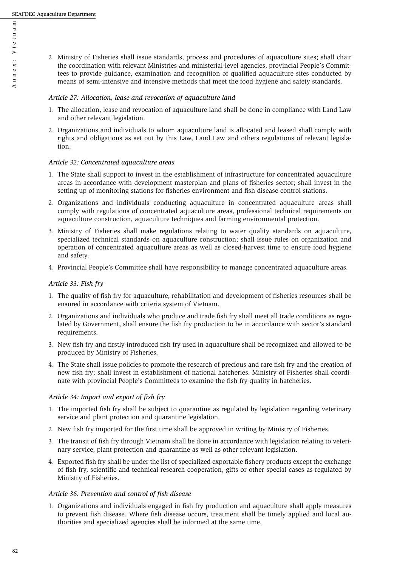2. Ministry of Fisheries shall issue standards, process and procedures of aquaculture sites; shall chair the coordination with relevant Ministries and ministerial-level agencies, provincial People's Committees to provide guidance, examination and recognition of qualified aquaculture sites conducted by means of semi-intensive and intensive methods that meet the food hygiene and safety standards.

#### *Article 27: Allocation, lease and revocation of aquaculture land*

- 1. The allocation, lease and revocation of aquaculture land shall be done in compliance with Land Law and other relevant legislation.
- 2. Organizations and individuals to whom aquaculture land is allocated and leased shall comply with rights and obligations as set out by this Law, Land Law and others regulations of relevant legislation.

#### *Article 32: Concentrated aquaculture areas*

- 1. The State shall support to invest in the establishment of infrastructure for concentrated aquaculture areas in accordance with development masterplan and plans of fisheries sector; shall invest in the setting up of monitoring stations for fisheries environment and fish disease control stations.
- 2. Organizations and individuals conducting aquaculture in concentrated aquaculture areas shall comply with regulations of concentrated aquaculture areas, professional technical requirements on aquaculture construction, aquaculture techniques and farming environmental protection.
- 3. Ministry of Fisheries shall make regulations relating to water quality standards on aquaculture, specialized technical standards on aquaculture construction; shall issue rules on organization and operation of concentrated aquaculture areas as well as closed-harvest time to ensure food hygiene and safety.
- 4. Provincial People's Committee shall have responsibility to manage concentrated aquaculture areas.

#### *Article 33: Fish fry*

- 1. The quality of fish fry for aquaculture, rehabilitation and development of fisheries resources shall be ensured in accordance with criteria system of Vietnam.
- 2. Organizations and individuals who produce and trade fish fry shall meet all trade conditions as regulated by Government, shall ensure the fish fry production to be in accordance with sector's standard requirements.
- 3. New fish fry and firstly-introduced fish fry used in aquaculture shall be recognized and allowed to be produced by Ministry of Fisheries.
- 4. The State shall issue policies to promote the research of precious and rare fish fry and the creation of new fish fry; shall invest in establishment of national hatcheries. Ministry of Fisheries shall coordinate with provincial People's Committees to examine the fish fry quality in hatcheries.

#### *Article 34: Import and export of fish fry*

- 1. The imported fish fry shall be subject to quarantine as regulated by legislation regarding veterinary service and plant protection and quarantine legislation.
- 2. New fish fry imported for the first time shall be approved in writing by Ministry of Fisheries.
- 3. The transit of fish fry through Vietnam shall be done in accordance with legislation relating to veterinary service, plant protection and quarantine as well as other relevant legislation.
- 4. Exported fish fry shall be under the list of specialized exportable fishery products except the exchange of fish fry, scientific and technical research cooperation, gifts or other special cases as regulated by Ministry of Fisheries.

#### *Article 36: Prevention and control of fish disease*

1. Organizations and individuals engaged in fish fry production and aquaculture shall apply measures to prevent fish disease. Where fish disease occurs, treatment shall be timely applied and local authorities and specialized agencies shall be informed at the same time.